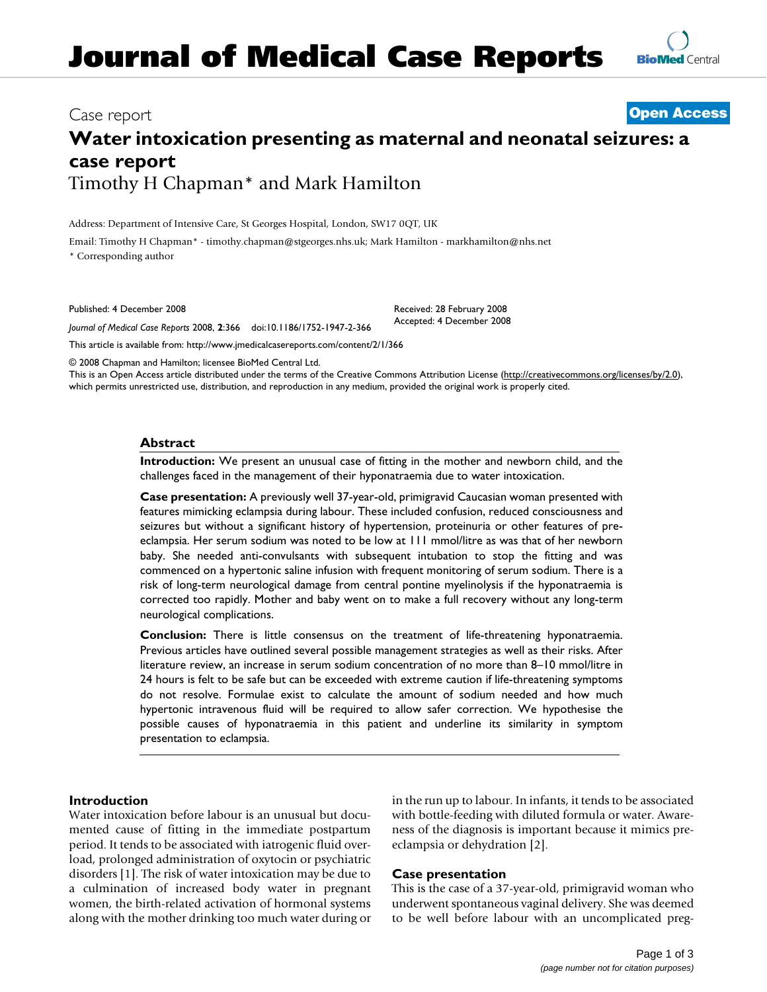# **Water intoxication presenting as maternal and neonatal seizures: a case report** Timothy H Chapman\* and Mark Hamilton

Address: Department of Intensive Care, St Georges Hospital, London, SW17 0QT, UK

Email: Timothy H Chapman\* - timothy.chapman@stgeorges.nhs.uk; Mark Hamilton - markhamilton@nhs.net \* Corresponding author

Published: 4 December 2008

*Journal of Medical Case Reports* 2008, **2**:366 doi:10.1186/1752-1947-2-366

[This article is available from: http://www.jmedicalcasereports.com/content/2/1/366](http://www.jmedicalcasereports.com/content/2/1/366)

© 2008 Chapman and Hamilton; licensee BioMed Central Ltd.

This is an Open Access article distributed under the terms of the Creative Commons Attribution License [\(http://creativecommons.org/licenses/by/2.0\)](http://creativecommons.org/licenses/by/2.0), which permits unrestricted use, distribution, and reproduction in any medium, provided the original work is properly cited.

Received: 28 February 2008 Accepted: 4 December 2008

## **Abstract**

**Introduction:** We present an unusual case of fitting in the mother and newborn child, and the challenges faced in the management of their hyponatraemia due to water intoxication.

**Case presentation:** A previously well 37-year-old, primigravid Caucasian woman presented with features mimicking eclampsia during labour. These included confusion, reduced consciousness and seizures but without a significant history of hypertension, proteinuria or other features of preeclampsia. Her serum sodium was noted to be low at 111 mmol/litre as was that of her newborn baby. She needed anti-convulsants with subsequent intubation to stop the fitting and was commenced on a hypertonic saline infusion with frequent monitoring of serum sodium. There is a risk of long-term neurological damage from central pontine myelinolysis if the hyponatraemia is corrected too rapidly. Mother and baby went on to make a full recovery without any long-term neurological complications.

**Conclusion:** There is little consensus on the treatment of life-threatening hyponatraemia. Previous articles have outlined several possible management strategies as well as their risks. After literature review, an increase in serum sodium concentration of no more than 8–10 mmol/litre in 24 hours is felt to be safe but can be exceeded with extreme caution if life-threatening symptoms do not resolve. Formulae exist to calculate the amount of sodium needed and how much hypertonic intravenous fluid will be required to allow safer correction. We hypothesise the possible causes of hyponatraemia in this patient and underline its similarity in symptom presentation to eclampsia.

# **Introduction**

Water intoxication before labour is an unusual but documented cause of fitting in the immediate postpartum period. It tends to be associated with iatrogenic fluid overload, prolonged administration of oxytocin or psychiatric disorders [1]. The risk of water intoxication may be due to a culmination of increased body water in pregnant women, the birth-related activation of hormonal systems along with the mother drinking too much water during or in the run up to labour. In infants, it tends to be associated with bottle-feeding with diluted formula or water. Awareness of the diagnosis is important because it mimics preeclampsia or dehydration [2].

# **Case presentation**

This is the case of a 37-year-old, primigravid woman who underwent spontaneous vaginal delivery. She was deemed to be well before labour with an uncomplicated preg-

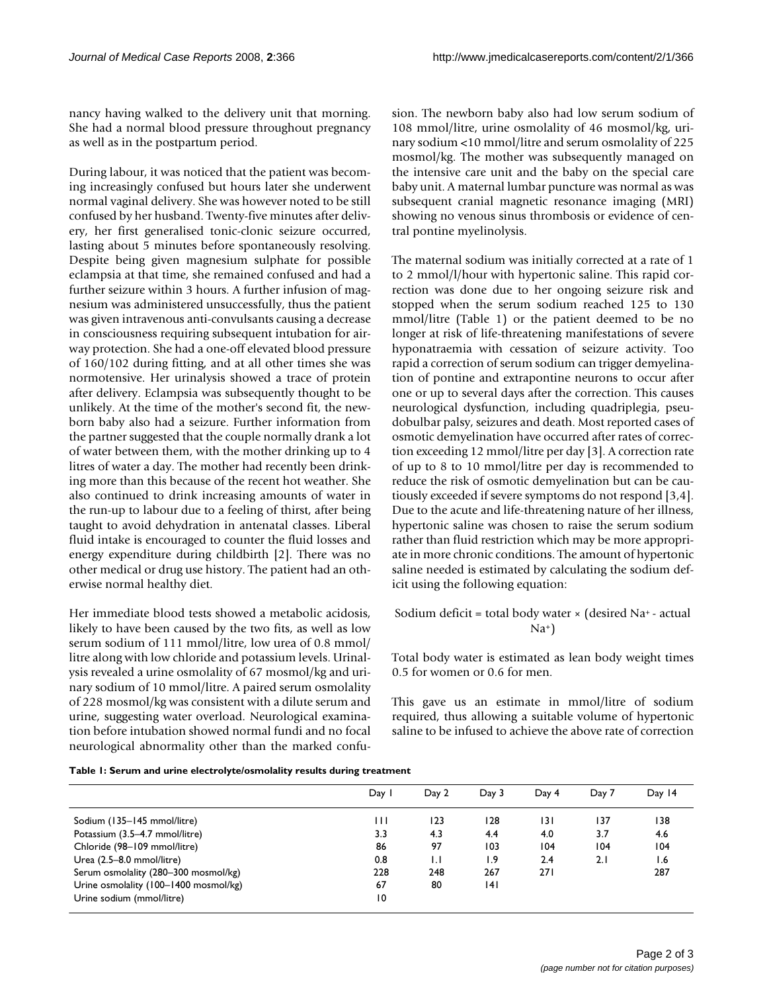nancy having walked to the delivery unit that morning. She had a normal blood pressure throughout pregnancy as well as in the postpartum period.

During labour, it was noticed that the patient was becoming increasingly confused but hours later she underwent normal vaginal delivery. She was however noted to be still confused by her husband. Twenty-five minutes after delivery, her first generalised tonic-clonic seizure occurred, lasting about 5 minutes before spontaneously resolving. Despite being given magnesium sulphate for possible eclampsia at that time, she remained confused and had a further seizure within 3 hours. A further infusion of magnesium was administered unsuccessfully, thus the patient was given intravenous anti-convulsants causing a decrease in consciousness requiring subsequent intubation for airway protection. She had a one-off elevated blood pressure of 160/102 during fitting, and at all other times she was normotensive. Her urinalysis showed a trace of protein after delivery. Eclampsia was subsequently thought to be unlikely. At the time of the mother's second fit, the newborn baby also had a seizure. Further information from the partner suggested that the couple normally drank a lot of water between them, with the mother drinking up to 4 litres of water a day. The mother had recently been drinking more than this because of the recent hot weather. She also continued to drink increasing amounts of water in the run-up to labour due to a feeling of thirst, after being taught to avoid dehydration in antenatal classes. Liberal fluid intake is encouraged to counter the fluid losses and energy expenditure during childbirth [2]. There was no other medical or drug use history. The patient had an otherwise normal healthy diet.

Her immediate blood tests showed a metabolic acidosis, likely to have been caused by the two fits, as well as low serum sodium of 111 mmol/litre, low urea of 0.8 mmol/ litre along with low chloride and potassium levels. Urinalysis revealed a urine osmolality of 67 mosmol/kg and urinary sodium of 10 mmol/litre. A paired serum osmolality of 228 mosmol/kg was consistent with a dilute serum and urine, suggesting water overload. Neurological examination before intubation showed normal fundi and no focal neurological abnormality other than the marked confusion. The newborn baby also had low serum sodium of 108 mmol/litre, urine osmolality of 46 mosmol/kg, urinary sodium <10 mmol/litre and serum osmolality of 225 mosmol/kg. The mother was subsequently managed on the intensive care unit and the baby on the special care baby unit. A maternal lumbar puncture was normal as was subsequent cranial magnetic resonance imaging (MRI) showing no venous sinus thrombosis or evidence of central pontine myelinolysis.

The maternal sodium was initially corrected at a rate of 1 to 2 mmol/l/hour with hypertonic saline. This rapid correction was done due to her ongoing seizure risk and stopped when the serum sodium reached 125 to 130 mmol/litre (Table 1) or the patient deemed to be no longer at risk of life-threatening manifestations of severe hyponatraemia with cessation of seizure activity. Too rapid a correction of serum sodium can trigger demyelination of pontine and extrapontine neurons to occur after one or up to several days after the correction. This causes neurological dysfunction, including quadriplegia, pseudobulbar palsy, seizures and death. Most reported cases of osmotic demyelination have occurred after rates of correction exceeding 12 mmol/litre per day [3]. A correction rate of up to 8 to 10 mmol/litre per day is recommended to reduce the risk of osmotic demyelination but can be cautiously exceeded if severe symptoms do not respond [3,4]. Due to the acute and life-threatening nature of her illness, hypertonic saline was chosen to raise the serum sodium rather than fluid restriction which may be more appropriate in more chronic conditions. The amount of hypertonic saline needed is estimated by calculating the sodium deficit using the following equation:

Sodium deficit = total body water  $\times$  (desired Na<sup>+</sup> - actual  $Na<sup>+</sup>$ 

Total body water is estimated as lean body weight times 0.5 for women or 0.6 for men.

This gave us an estimate in mmol/litre of sodium required, thus allowing a suitable volume of hypertonic saline to be infused to achieve the above rate of correction

|                                       | Day 1 | Day 2 | Day 3            | Day 4 | Day 7 | Day 14 |
|---------------------------------------|-------|-------|------------------|-------|-------|--------|
|                                       |       |       |                  |       |       |        |
| Sodium (135-145 mmol/litre)           | Ш     | 123   | 128              | 131   | 137   | 138    |
| Potassium (3.5-4.7 mmol/litre)        | 3.3   | 4.3   | 4.4              | 4.0   | 3.7   | 4.6    |
| Chloride (98-109 mmol/litre)          | 86    | 97    | 103              | 104   | 104   | 104    |
| Urea (2.5-8.0 mmol/litre)             | 0.8   | 1.1   | $\overline{1.9}$ | 2.4   | 2.1   | 1.6    |
| Serum osmolality (280-300 mosmol/kg)  | 228   | 248   | 267              | 27 I  |       | 287    |
| Urine osmolality (100-1400 mosmol/kg) | 67    | 80    | 4                |       |       |        |
| Urine sodium (mmol/litre)             | 10    |       |                  |       |       |        |